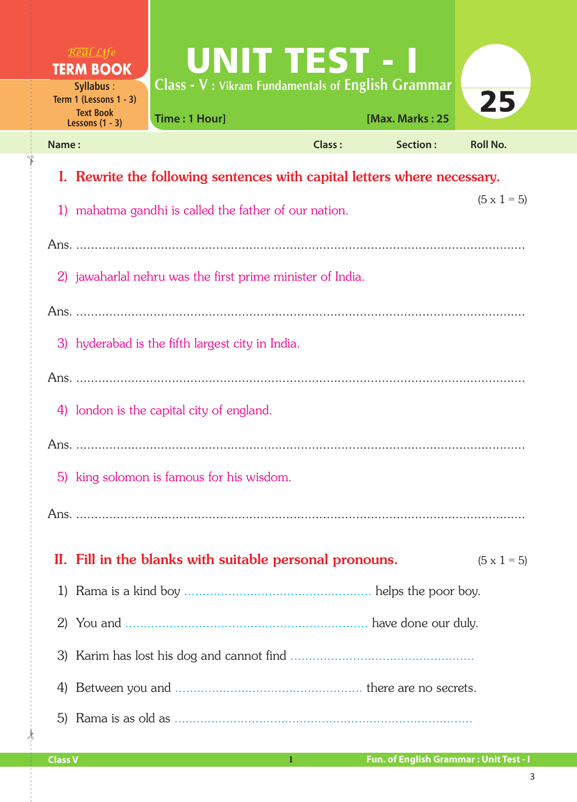| $R$ <sup><i>x</i></sup> $a$ <i>l</i> $L$ <i>ife</i><br><b>TERM BOOK</b><br><b>Syllabus:</b> | <b>UNIT TEST - I</b><br><b>Class - V: Vikram Fundamentals of English Grammar</b> |               |                 |                    |  |  |
|---------------------------------------------------------------------------------------------|----------------------------------------------------------------------------------|---------------|-----------------|--------------------|--|--|
| Term 1 (Lessons $1 - 3$ )<br><b>Text Book</b><br>Lessons $(1 - 3)$                          | Time: 1 Hour]                                                                    |               | [Max. Marks: 25 | 25                 |  |  |
| Name:                                                                                       |                                                                                  | <b>Class:</b> | <b>Section:</b> | <b>Roll No.</b>    |  |  |
| Rewrite the following sentences with capital letters where necessary.<br>1.                 |                                                                                  |               |                 |                    |  |  |
|                                                                                             | 1) mahatma gandhi is called the father of our nation.                            |               |                 | $(5 \times 1 = 5)$ |  |  |
|                                                                                             |                                                                                  |               |                 |                    |  |  |
|                                                                                             | 2) jawaharlal nehru was the first prime minister of India.                       |               |                 |                    |  |  |
|                                                                                             |                                                                                  |               |                 |                    |  |  |
|                                                                                             | 3) hyderabad is the fifth largest city in India.                                 |               |                 |                    |  |  |
|                                                                                             |                                                                                  |               |                 |                    |  |  |
|                                                                                             | 4) london is the capital city of england.                                        |               |                 |                    |  |  |
|                                                                                             |                                                                                  |               |                 |                    |  |  |
|                                                                                             | 5) king solomon is famous for his wisdom.                                        |               |                 |                    |  |  |
|                                                                                             |                                                                                  |               |                 |                    |  |  |
|                                                                                             | II. Fill in the blanks with suitable personal pronouns.                          |               |                 | $(5 \times 1 = 5)$ |  |  |
| 1)                                                                                          |                                                                                  |               |                 |                    |  |  |
| 2)                                                                                          |                                                                                  |               |                 |                    |  |  |
| 3)                                                                                          |                                                                                  |               |                 |                    |  |  |
| 4)                                                                                          |                                                                                  |               |                 |                    |  |  |
|                                                                                             |                                                                                  |               |                 |                    |  |  |

 $\frac{1}{2}$ 

✁